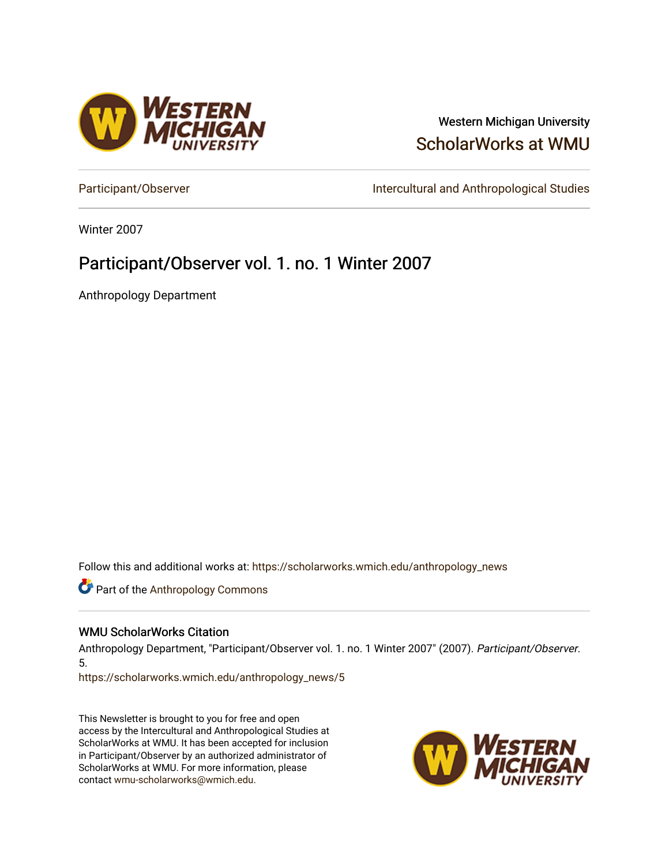

## Western Michigan University [ScholarWorks at WMU](https://scholarworks.wmich.edu/)

[Participant/Observer](https://scholarworks.wmich.edu/anthropology_news) **Intercultural and Anthropological Studies** 

Winter 2007

## Participant/Observer vol. 1. no. 1 Winter 2007

Anthropology Department

Follow this and additional works at: [https://scholarworks.wmich.edu/anthropology\\_news](https://scholarworks.wmich.edu/anthropology_news?utm_source=scholarworks.wmich.edu%2Fanthropology_news%2F5&utm_medium=PDF&utm_campaign=PDFCoverPages) 

**Part of the [Anthropology Commons](http://network.bepress.com/hgg/discipline/318?utm_source=scholarworks.wmich.edu%2Fanthropology_news%2F5&utm_medium=PDF&utm_campaign=PDFCoverPages)** 

#### WMU ScholarWorks Citation

Anthropology Department, "Participant/Observer vol. 1. no. 1 Winter 2007" (2007). Participant/Observer. 5.

[https://scholarworks.wmich.edu/anthropology\\_news/5](https://scholarworks.wmich.edu/anthropology_news/5?utm_source=scholarworks.wmich.edu%2Fanthropology_news%2F5&utm_medium=PDF&utm_campaign=PDFCoverPages) 

This Newsletter is brought to you for free and open access by the Intercultural and Anthropological Studies at ScholarWorks at WMU. It has been accepted for inclusion in Participant/Observer by an authorized administrator of ScholarWorks at WMU. For more information, please contact [wmu-scholarworks@wmich.edu](mailto:wmu-scholarworks@wmich.edu).

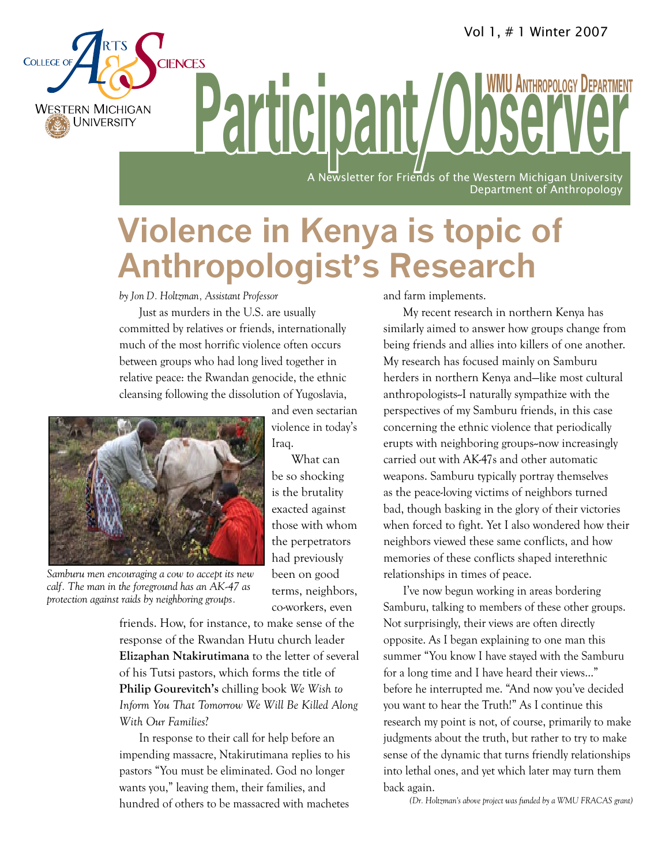**ANTHROPOLOGY DEPARTMENT** 



A Newsletter for Friends of the Western Michigan University Department of Anthropology

## **Violence in Kenya is topic of Anthropologist's Research**

*by Jon D. Holtzman, Assistant Professor* 

Just as murders in the U.S. are usually committed by relatives or friends, internationally much of the most horrific violence often occurs between groups who had long lived together in relative peace: the Rwandan genocide, the ethnic cleansing following the dissolution of Yugoslavia,



*Samburu men encouraging a cow to accept its new calf. The man in the foreground has an AK-47 as protection against raids by neighboring groups.*

and even sectarian violence in today's Iraq.

What can be so shocking is the brutality exacted against those with whom the perpetrators had previously been on good terms, neighbors, co-workers, even

friends. How, for instance, to make sense of the response of the Rwandan Hutu church leader **Elizaphan Ntakirutimana** to the letter of several of his Tutsi pastors, which forms the title of **Philip Gourevitch's** chilling book *We Wish to Inform You That Tomorrow We Will Be Killed Along With Our Families*?

In response to their call for help before an impending massacre, Ntakirutimana replies to his pastors "You must be eliminated. God no longer wants you," leaving them, their families, and hundred of others to be massacred with machetes

and farm implements.

My recent research in northern Kenya has similarly aimed to answer how groups change from being friends and allies into killers of one another. My research has focused mainly on Samburu herders in northern Kenya and—like most cultural anthropologists--I naturally sympathize with the perspectives of my Samburu friends, in this case concerning the ethnic violence that periodically erupts with neighboring groups-now increasingly carried out with AK-47s and other automatic weapons. Samburu typically portray themselves as the peace-loving victims of neighbors turned bad, though basking in the glory of their victories when forced to fight. Yet I also wondered how their neighbors viewed these same conflicts, and how memories of these conflicts shaped interethnic relationships in times of peace.

I've now begun working in areas bordering Samburu, talking to members of these other groups. Not surprisingly, their views are often directly opposite. As I began explaining to one man this summer "You know I have stayed with the Samburu for a long time and I have heard their views…" before he interrupted me. "And now you've decided you want to hear the Truth!" As I continue this research my point is not, of course, primarily to make judgments about the truth, but rather to try to make sense of the dynamic that turns friendly relationships into lethal ones, and yet which later may turn them back again.

*(Dr. Holtzman's above project was funded by a WMU FRACAS grant)*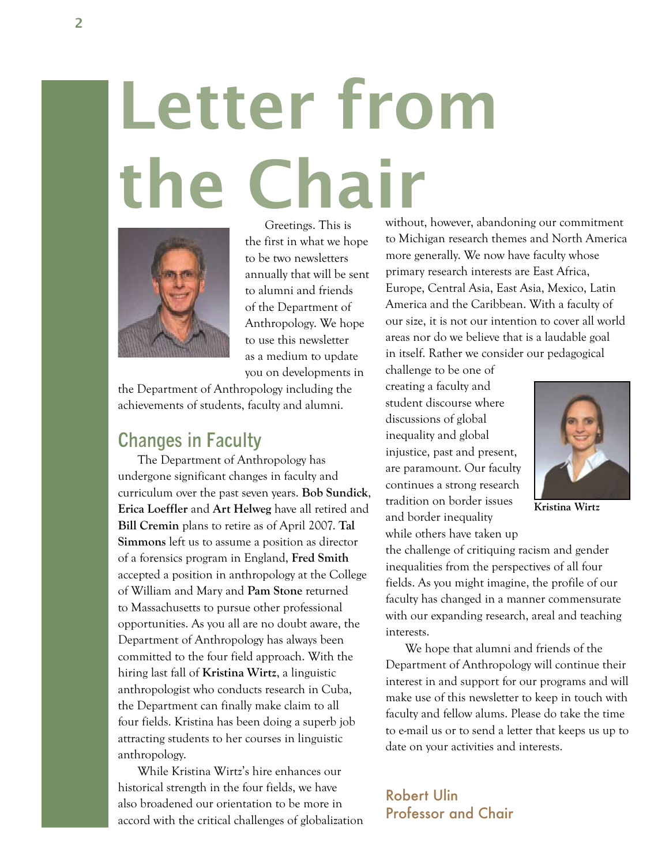# Letter from the Chair



Greetings. This is the first in what we hope to be two newsletters annually that will be sent to alumni and friends of the Department of Anthropology. We hope to use this newsletter as a medium to update you on developments in

the Department of Anthropology including the achievements of students, faculty and alumni.

## **Changes in Faculty**

The Department of Anthropology has undergone significant changes in faculty and curriculum over the past seven years. **Bob Sundick**, **Erica Loeffler** and **Art Helweg** have all retired and **Bill Cremin** plans to retire as of April 2007. **Tal Simmons** left us to assume a position as director of a forensics program in England, **Fred Smith** accepted a position in anthropology at the College of William and Mary and **Pam Stone** returned to Massachusetts to pursue other professional opportunities. As you all are no doubt aware, the Department of Anthropology has always been committed to the four field approach. With the hiring last fall of **Kristina Wirtz**, a linguistic anthropologist who conducts research in Cuba, the Department can finally make claim to all four fields. Kristina has been doing a superb job attracting students to her courses in linguistic anthropology.

While Kristina Wirtz's hire enhances our historical strength in the four fields, we have also broadened our orientation to be more in accord with the critical challenges of globalization without, however, abandoning our commitment to Michigan research themes and North America more generally. We now have faculty whose primary research interests are East Africa, Europe, Central Asia, East Asia, Mexico, Latin America and the Caribbean. With a faculty of our size, it is not our intention to cover all world areas nor do we believe that is a laudable goal in itself. Rather we consider our pedagogical

challenge to be one of creating a faculty and student discourse where discussions of global inequality and global injustice, past and present, are paramount. Our faculty continues a strong research tradition on border issues and border inequality while others have taken up



**Kristina Wirtz**

the challenge of critiquing racism and gender inequalities from the perspectives of all four fields. As you might imagine, the profile of our faculty has changed in a manner commensurate with our expanding research, areal and teaching interests.

We hope that alumni and friends of the Department of Anthropology will continue their interest in and support for our programs and will make use of this newsletter to keep in touch with faculty and fellow alums. Please do take the time to e-mail us or to send a letter that keeps us up to date on your activities and interests.

#### Robert Ulin Professor and Chair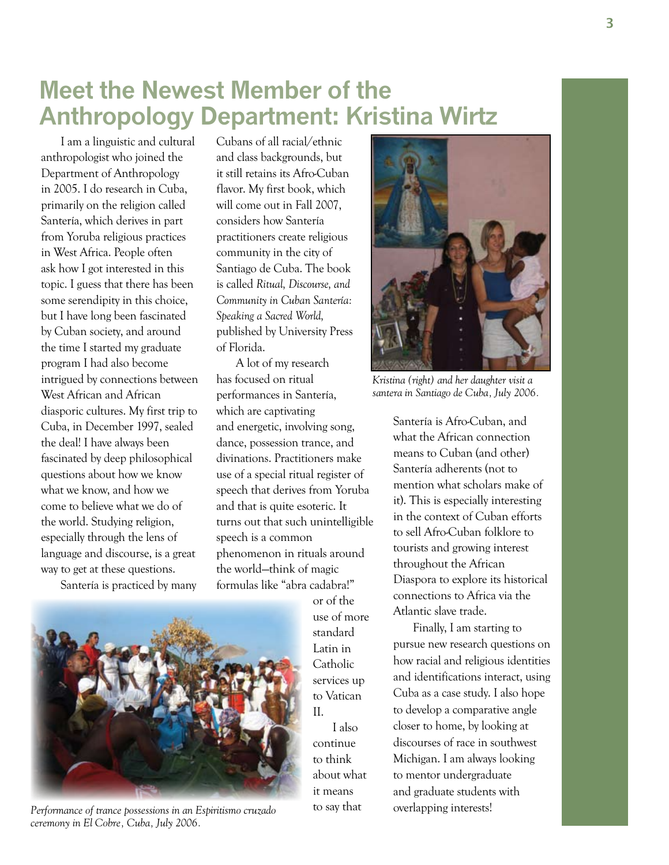## **Meet the Newest Member of the Anthropology Department: Kristina Wirtz**

I am a linguistic and cultural anthropologist who joined the Department of Anthropology in 2005. I do research in Cuba, primarily on the religion called Santería, which derives in part from Yoruba religious practices in West Africa. People often ask how I got interested in this topic. I guess that there has been some serendipity in this choice, but I have long been fascinated by Cuban society, and around the time I started my graduate program I had also become intrigued by connections between West African and African diasporic cultures. My first trip to Cuba, in December 1997, sealed the deal! I have always been fascinated by deep philosophical questions about how we know what we know, and how we come to believe what we do of the world. Studying religion, especially through the lens of language and discourse, is a great way to get at these questions.

Santería is practiced by many

Cubans of all racial/ethnic and class backgrounds, but it still retains its Afro-Cuban flavor. My first book, which will come out in Fall 2007, considers how Santería practitioners create religious community in the city of Santiago de Cuba. The book is called *Ritual, Discourse, and Community in Cuban Santería: Speaking a Sacred World,*  published by University Press of Florida.

A lot of my research has focused on ritual performances in Santería, which are captivating and energetic, involving song, dance, possession trance, and divinations. Practitioners make use of a special ritual register of speech that derives from Yoruba and that is quite esoteric. It turns out that such unintelligible speech is a common phenomenon in rituals around the world—think of magic formulas like "abra cadabra!"

*Performance of trance possessions in an Espiritismo cruzado ceremony in El Cobre, Cuba, July 2006.*

or of the use of more standard Latin in Catholic services up to Vatican II.

I also continue to think about what it means to say that



*santera in Santiago de Cuba, July 2006.*

Santería is Afro-Cuban, and what the African connection means to Cuban (and other) Santería adherents (not to mention what scholars make of it). This is especially interesting in the context of Cuban efforts to sell Afro-Cuban folklore to tourists and growing interest throughout the African Diaspora to explore its historical connections to Africa via the Atlantic slave trade.

Finally, I am starting to pursue new research questions on how racial and religious identities and identifications interact, using Cuba as a case study. I also hope to develop a comparative angle closer to home, by looking at discourses of race in southwest Michigan. I am always looking to mentor undergraduate and graduate students with overlapping interests!

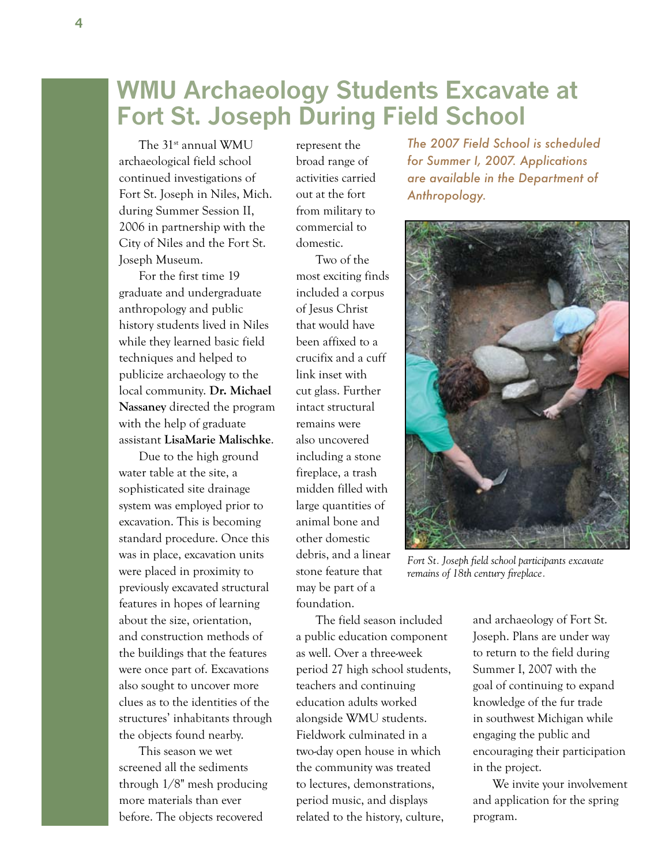## **WMU Archaeology Students Excavate at Fort St. Joseph During Field School**

The 31st annual WMU archaeological field school continued investigations of Fort St. Joseph in Niles, Mich. during Summer Session II, 2006 in partnership with the City of Niles and the Fort St. Joseph Museum.

For the first time 19 graduate and undergraduate anthropology and public history students lived in Niles while they learned basic field techniques and helped to publicize archaeology to the local community. **Dr. Michael Nassaney** directed the program with the help of graduate assistant **LisaMarie Malischke**.

Due to the high ground water table at the site, a sophisticated site drainage system was employed prior to excavation. This is becoming standard procedure. Once this was in place, excavation units were placed in proximity to previously excavated structural features in hopes of learning about the size, orientation, and construction methods of the buildings that the features were once part of. Excavations also sought to uncover more clues as to the identities of the structures' inhabitants through the objects found nearby.

This season we wet screened all the sediments through 1/8" mesh producing more materials than ever before. The objects recovered

represent the broad range of activities carried out at the fort from military to commercial to domestic.

Two of the most exciting finds included a corpus of Jesus Christ that would have been affixed to a crucifix and a cuff link inset with cut glass. Further intact structural remains were also uncovered including a stone fireplace, a trash midden filled with large quantities of animal bone and other domestic debris, and a linear stone feature that may be part of a foundation.

The field season included a public education component as well. Over a three-week period 27 high school students, teachers and continuing education adults worked alongside WMU students. Fieldwork culminated in a two-day open house in which the community was treated to lectures, demonstrations, period music, and displays related to the history, culture,

*The 2007 Field School is scheduled for Summer I, 2007. Applications are available in the Department of Anthropology.*



*Fort St. Joseph field school participants excavate remains of 18th century fireplace.*

and archaeology of Fort St. Joseph. Plans are under way to return to the field during Summer I, 2007 with the goal of continuing to expand knowledge of the fur trade in southwest Michigan while engaging the public and encouraging their participation in the project.

We invite your involvement and application for the spring program.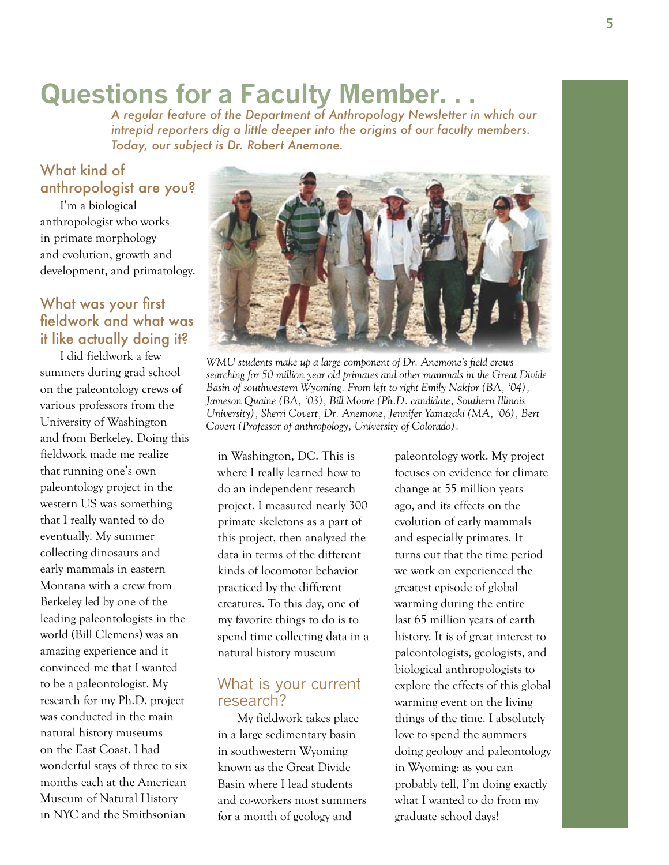## **Questions for a Faculty Member. . .**

*A regular feature of the Department of Anthropology Newsletter in which our intrepid reporters dig a little deeper into the origins of our faculty members. Today, our subject is Dr. Robert Anemone.*

### What kind of anthropologist are you?

I'm a biological anthropologist who works in primate morphology and evolution, growth and development, and primatology.

#### What was your first fieldwork and what was it like actually doing it?

I did fieldwork a few summers during grad school on the paleontology crews of various professors from the University of Washington and from Berkeley. Doing this fieldwork made me realize that running one's own paleontology project in the western US was something that I really wanted to do eventually. My summer collecting dinosaurs and early mammals in eastern Montana with a crew from Berkeley led by one of the leading paleontologists in the world (Bill Clemens) was an amazing experience and it convinced me that I wanted to be a paleontologist. My research for my Ph.D. project was conducted in the main natural history museums on the East Coast. I had wonderful stays of three to six months each at the American Museum of Natural History in NYC and the Smithsonian



*WMU students make up a large component of Dr. Anemone's field crews searching for 50 million year old primates and other mammals in the Great Divide Basin of southwestern Wyoming. From left to right Emily Nakfor (BA, '04), Jameson Quaine (BA, '03), Bill Moore (Ph.D. candidate, Southern Illinois University), Sherri Covert, Dr. Anemone, Jennifer Yamazaki (MA, '06), Bert Covert (Professor of anthropology, University of Colorado).* 

in Washington, DC. This is where I really learned how to do an independent research project. I measured nearly 300 primate skeletons as a part of this project, then analyzed the data in terms of the different kinds of locomotor behavior practiced by the different creatures. To this day, one of my favorite things to do is to spend time collecting data in a natural history museum

#### What is your current research?

My fieldwork takes place in a large sedimentary basin in southwestern Wyoming known as the Great Divide Basin where I lead students and co-workers most summers for a month of geology and

paleontology work. My project focuses on evidence for climate change at 55 million years ago, and its effects on the evolution of early mammals and especially primates. It turns out that the time period we work on experienced the greatest episode of global warming during the entire last 65 million years of earth history. It is of great interest to paleontologists, geologists, and biological anthropologists to explore the effects of this global warming event on the living things of the time. I absolutely love to spend the summers doing geology and paleontology in Wyoming: as you can probably tell, I'm doing exactly what I wanted to do from my graduate school days!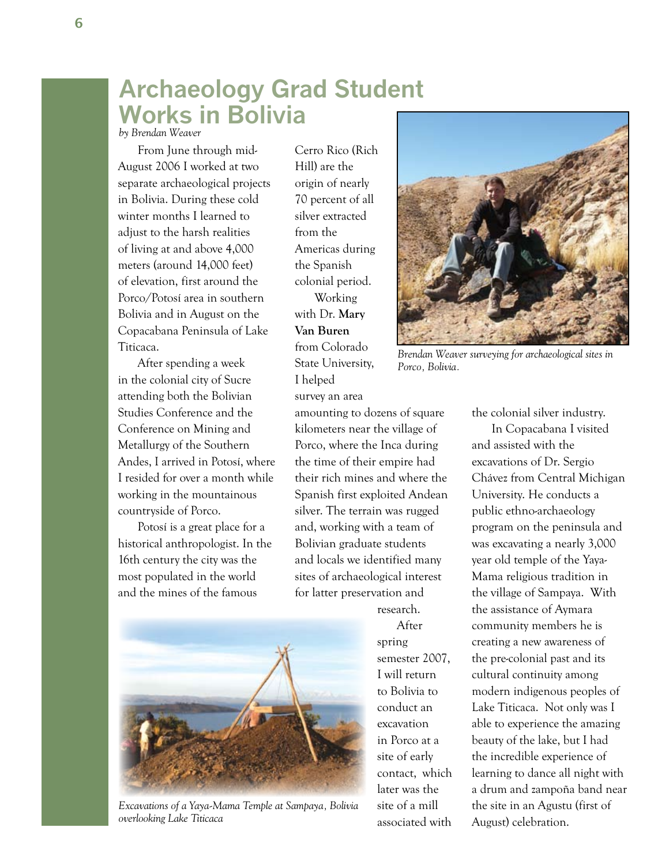## **Archaeology Grad Student Works in Bolivia**

*by Brendan Weaver*

From June through mid-August 2006 I worked at two separate archaeological projects in Bolivia. During these cold winter months I learned to adjust to the harsh realities of living at and above 4,000 meters (around 14,000 feet) of elevation, first around the Porco/Potosí area in southern Bolivia and in August on the Copacabana Peninsula of Lake Titicaca.

After spending a week in the colonial city of Sucre attending both the Bolivian Studies Conference and the Conference on Mining and Metallurgy of the Southern Andes, I arrived in Potosí, where I resided for over a month while working in the mountainous countryside of Porco.

Potosí is a great place for a historical anthropologist. In the 16th century the city was the most populated in the world and the mines of the famous

Cerro Rico (Rich Hill) are the origin of nearly 70 percent of all silver extracted from the Americas during the Spanish colonial period. Working with Dr. **Mary Van Buren**  from Colorado State University, I helped

survey an area amounting to dozens of square kilometers near the village of Porco, where the Inca during the time of their empire had their rich mines and where the Spanish first exploited Andean silver. The terrain was rugged and, working with a team of Bolivian graduate students and locals we identified many sites of archaeological interest for latter preservation and



*Excavations of a Yaya-Mama Temple at Sampaya, Bolivia overlooking Lake Titicaca*





*Brendan Weaver surveying for archaeological sites in Porco, Bolivia.*

the colonial silver industry. In Copacabana I visited and assisted with the excavations of Dr. Sergio Chávez from Central Michigan University. He conducts a public ethno-archaeology program on the peninsula and was excavating a nearly 3,000 year old temple of the Yaya-Mama religious tradition in the village of Sampaya. With the assistance of Aymara community members he is creating a new awareness of the pre-colonial past and its cultural continuity among modern indigenous peoples of Lake Titicaca. Not only was I able to experience the amazing beauty of the lake, but I had the incredible experience of learning to dance all night with a drum and zampoña band near the site in an Agustu (first of August) celebration.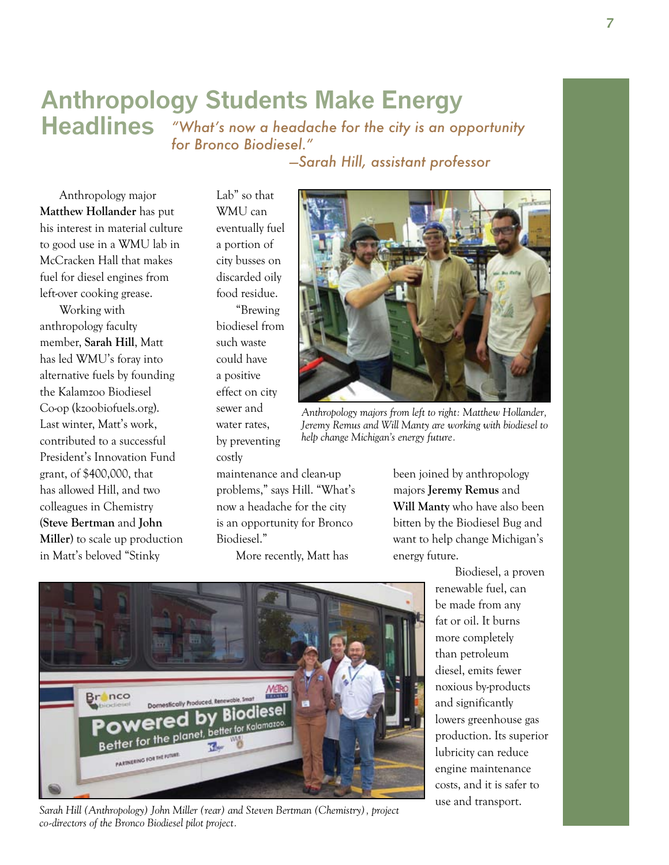## **Anthropology Students Make Energy Headlines**  *"What's now a headache for the city is an opportunity for Bronco Biodiesel."*

Anthropology major **Matthew Hollander** has put his interest in material culture to good use in a WMU lab in McCracken Hall that makes fuel for diesel engines from left-over cooking grease.

Working with anthropology faculty member, **Sarah Hill**, Matt has led WMU's foray into alternative fuels by founding the Kalamzoo Biodiesel Co-op (kzoobiofuels.org). Last winter, Matt's work, contributed to a successful President's Innovation Fund grant, of \$400,000, that has allowed Hill, and two colleagues in Chemistry (**Steve Bertman** and **John Miller**) to scale up production in Matt's beloved "Stinky

Lab" so that WMU can eventually fuel a portion of city busses on discarded oily food residue.

"Brewing biodiesel from such waste could have a positive effect on city sewer and water rates, by preventing costly

 *—Sarah Hill, assistant professor*

*Anthropology majors from left to right: Matthew Hollander, Jeremy Remus and Will Manty are working with biodiesel to help change Michigan's energy future.*

maintenance and clean-up problems," says Hill. "What's now a headache for the city is an opportunity for Bronco Biodiesel."

More recently, Matt has

been joined by anthropology majors **Jeremy Remus** and **Will Manty** who have also been bitten by the Biodiesel Bug and want to help change Michigan's energy future.

> Biodiesel, a proven renewable fuel, can be made from any fat or oil. It burns more completely than petroleum diesel, emits fewer noxious by-products and significantly lowers greenhouse gas production. Its superior lubricity can reduce engine maintenance costs, and it is safer to use and transport.



*Sarah Hill (Anthropology) John Miller (rear) and Steven Bertman (Chemistry), project co-directors of the Bronco Biodiesel pilot project.*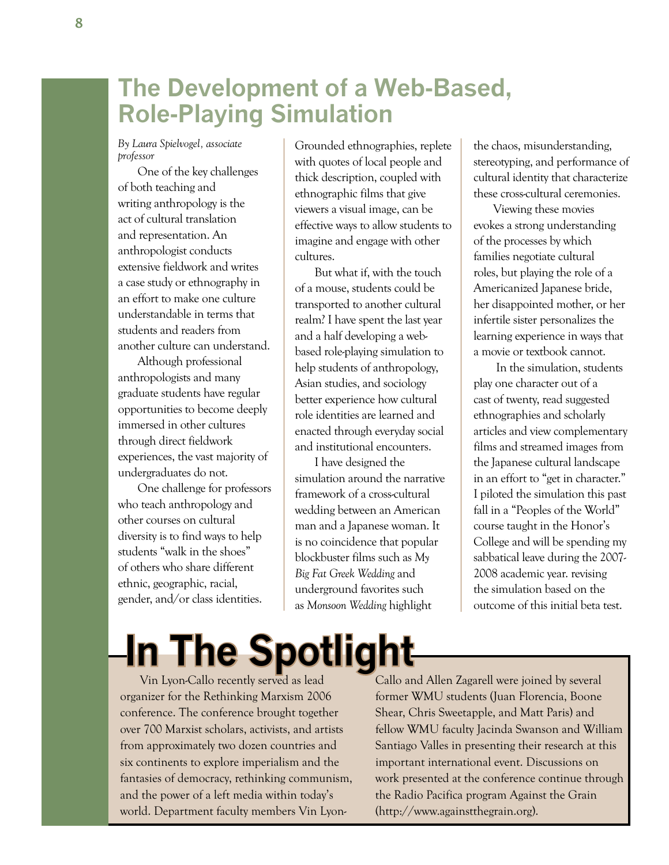**The Development of a Web-Based, Role-Playing Simulation**

*By Laura Spielvogel, associate professor* 

One of the key challenges of both teaching and writing anthropology is the act of cultural translation and representation. An anthropologist conducts extensive fieldwork and writes a case study or ethnography in an effort to make one culture understandable in terms that students and readers from another culture can understand.

Although professional anthropologists and many graduate students have regular opportunities to become deeply immersed in other cultures through direct fieldwork experiences, the vast majority of undergraduates do not.

One challenge for professors who teach anthropology and other courses on cultural diversity is to find ways to help students "walk in the shoes" of others who share different ethnic, geographic, racial, gender, and/or class identities.

Grounded ethnographies, replete with quotes of local people and thick description, coupled with ethnographic films that give viewers a visual image, can be effective ways to allow students to imagine and engage with other cultures.

But what if, with the touch of a mouse, students could be transported to another cultural realm? I have spent the last year and a half developing a webbased role-playing simulation to help students of anthropology, Asian studies, and sociology better experience how cultural role identities are learned and enacted through everyday social and institutional encounters.

I have designed the simulation around the narrative framework of a cross-cultural wedding between an American man and a Japanese woman. It is no coincidence that popular blockbuster films such as *My Big Fat Greek Wedding* and underground favorites such as *Monsoon Wedding* highlight

the chaos, misunderstanding, stereotyping, and performance of cultural identity that characterize these cross-cultural ceremonies.

Viewing these movies evokes a strong understanding of the processes by which families negotiate cultural roles, but playing the role of a Americanized Japanese bride, her disappointed mother, or her infertile sister personalizes the learning experience in ways that a movie or textbook cannot.

In the simulation, students play one character out of a cast of twenty, read suggested ethnographies and scholarly articles and view complementary films and streamed images from the Japanese cultural landscape in an effort to "get in character." I piloted the simulation this past fall in a "Peoples of the World" course taught in the Honor's College and will be spending my sabbatical leave during the 2007- 2008 academic year. revising the simulation based on the outcome of this initial beta test.

## **In The Spotlight**

Vin Lyon-Callo recently served as lead organizer for the Rethinking Marxism 2006 conference. The conference brought together over 700 Marxist scholars, activists, and artists from approximately two dozen countries and six continents to explore imperialism and the fantasies of democracy, rethinking communism, and the power of a left media within today's world. Department faculty members Vin LyonCallo and Allen Zagarell were joined by several former WMU students (Juan Florencia, Boone Shear, Chris Sweetapple, and Matt Paris) and fellow WMU faculty Jacinda Swanson and William Santiago Valles in presenting their research at this important international event. Discussions on work presented at the conference continue through the Radio Pacifica program Against the Grain (http://www.againstthegrain.org).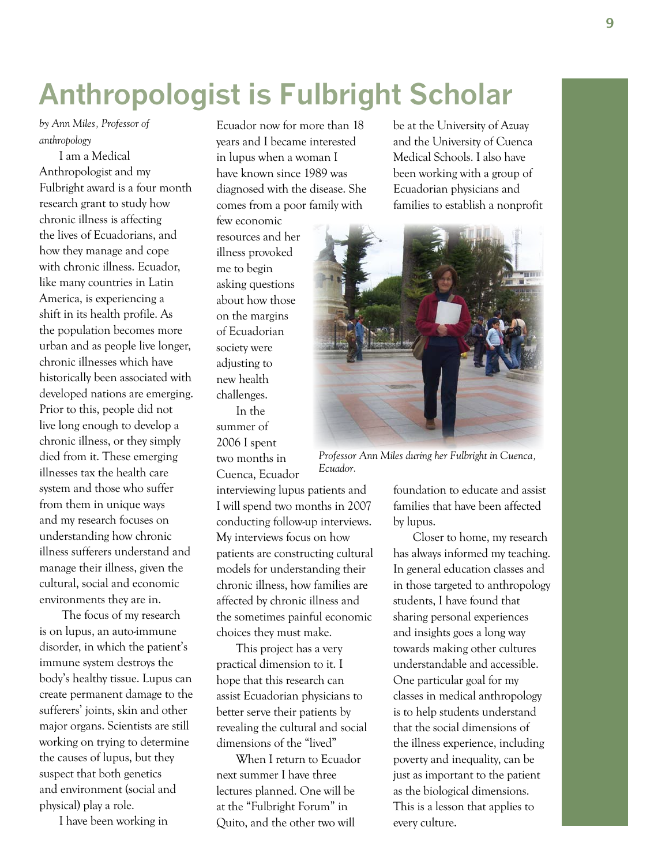## **Anthropologist is Fulbright Scholar**

*by Ann Miles, Professor of anthropology* 

I am a Medical Anthropologist and my Fulbright award is a four month research grant to study how chronic illness is affecting the lives of Ecuadorians, and how they manage and cope with chronic illness. Ecuador, like many countries in Latin America, is experiencing a shift in its health profile. As the population becomes more urban and as people live longer, chronic illnesses which have historically been associated with developed nations are emerging. Prior to this, people did not live long enough to develop a chronic illness, or they simply died from it. These emerging illnesses tax the health care system and those who suffer from them in unique ways and my research focuses on understanding how chronic illness sufferers understand and manage their illness, given the cultural, social and economic environments they are in.

 The focus of my research is on lupus, an auto-immune disorder, in which the patient's immune system destroys the body's healthy tissue. Lupus can create permanent damage to the sufferers' joints, skin and other major organs. Scientists are still working on trying to determine the causes of lupus, but they suspect that both genetics and environment (social and physical) play a role.

I have been working in

Ecuador now for more than 18 years and I became interested in lupus when a woman I have known since 1989 was diagnosed with the disease. She comes from a poor family with

few economic resources and her illness provoked me to begin asking questions about how those on the margins of Ecuadorian society were adjusting to new health challenges.

In the summer of 2006 I spent two months in Cuenca, Ecuador

interviewing lupus patients and I will spend two months in 2007 conducting follow-up interviews. My interviews focus on how patients are constructing cultural models for understanding their chronic illness, how families are affected by chronic illness and the sometimes painful economic choices they must make.

This project has a very practical dimension to it. I hope that this research can assist Ecuadorian physicians to better serve their patients by revealing the cultural and social dimensions of the "lived"

When I return to Ecuador next summer I have three lectures planned. One will be at the "Fulbright Forum" in Quito, and the other two will

be at the University of Azuay and the University of Cuenca Medical Schools. I also have been working with a group of Ecuadorian physicians and families to establish a nonprofit



*Professor Ann Miles during her Fulbright in Cuenca, Ecuador.*

foundation to educate and assist families that have been affected by lupus.

Closer to home, my research has always informed my teaching. In general education classes and in those targeted to anthropology students, I have found that sharing personal experiences and insights goes a long way towards making other cultures understandable and accessible. One particular goal for my classes in medical anthropology is to help students understand that the social dimensions of the illness experience, including poverty and inequality, can be just as important to the patient as the biological dimensions. This is a lesson that applies to every culture.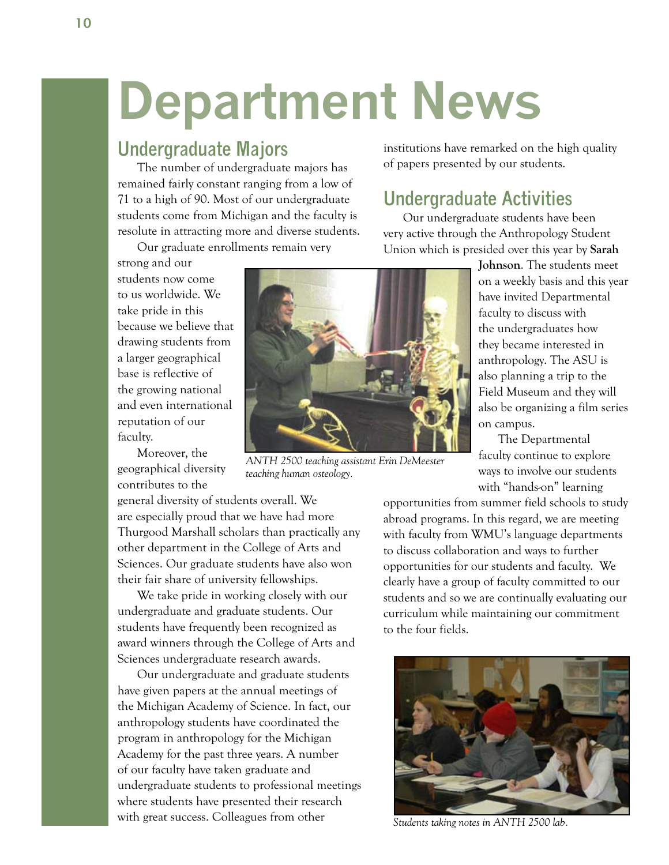## **Department News**

## **Undergraduate Majors**

The number of undergraduate majors has remained fairly constant ranging from a low of 71 to a high of 90. Most of our undergraduate students come from Michigan and the faculty is resolute in attracting more and diverse students.

Our graduate enrollments remain very

strong and our students now come to us worldwide. We take pride in this because we believe that drawing students from a larger geographical base is reflective of the growing national and even international reputation of our faculty.

Moreover, the geographical diversity contributes to the

general diversity of students overall. We are especially proud that we have had more Thurgood Marshall scholars than practically any other department in the College of Arts and Sciences. Our graduate students have also won their fair share of university fellowships.

*teaching human osteology.*

We take pride in working closely with our undergraduate and graduate students. Our students have frequently been recognized as award winners through the College of Arts and Sciences undergraduate research awards.

Our undergraduate and graduate students have given papers at the annual meetings of the Michigan Academy of Science. In fact, our anthropology students have coordinated the program in anthropology for the Michigan Academy for the past three years. A number of our faculty have taken graduate and undergraduate students to professional meetings where students have presented their research with great success. Colleagues from other

institutions have remarked on the high quality of papers presented by our students.

## **Undergraduate Activities**

Our undergraduate students have been very active through the Anthropology Student Union which is presided over this year by **Sarah** 

> **Johnson**. The students meet on a weekly basis and this year have invited Departmental faculty to discuss with the undergraduates how they became interested in anthropology. The ASU is also planning a trip to the Field Museum and they will also be organizing a film series on campus.

The Departmental faculty continue to explore ways to involve our students with "hands-on" learning

opportunities from summer field schools to study abroad programs. In this regard, we are meeting with faculty from WMU's language departments to discuss collaboration and ways to further opportunities for our students and faculty. We clearly have a group of faculty committed to our students and so we are continually evaluating our curriculum while maintaining our commitment to the four fields.

*Students taking notes in ANTH 2500 lab.*

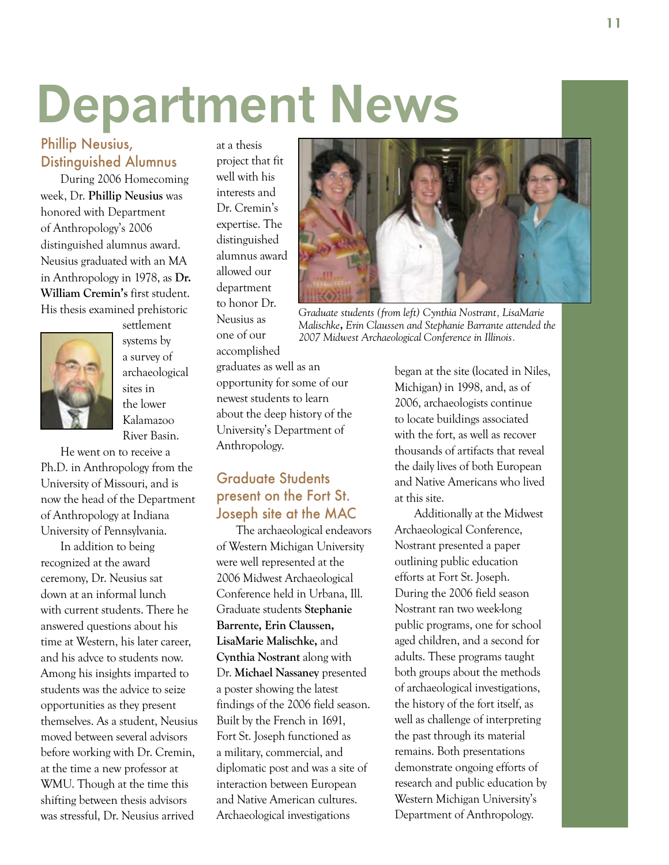## **Department News**

#### Phillip Neusius, Distinguished Alumnus

During 2006 Homecoming week, Dr. **Phillip Neusius** was honored with Department of Anthropology's 2006 distinguished alumnus award. Neusius graduated with an MA in Anthropology in 1978, as **Dr. William Cremin's** first student. His thesis examined prehistoric



settlement systems by a survey of archaeological sites in the lower Kalamazoo River Basin.

He went on to receive a Ph.D. in Anthropology from the University of Missouri, and is now the head of the Department of Anthropology at Indiana University of Pennsylvania.

In addition to being recognized at the award ceremony, Dr. Neusius sat down at an informal lunch with current students. There he answered questions about his time at Western, his later career, and his advce to students now. Among his insights imparted to students was the advice to seize opportunities as they present themselves. As a student, Neusius moved between several advisors before working with Dr. Cremin, at the time a new professor at WMU. Though at the time this shifting between thesis advisors was stressful, Dr. Neusius arrived

at a thesis project that fit well with his interests and Dr. Cremin's expertise. The distinguished alumnus award allowed our department to honor Dr. Neusius as one of our accomplished graduates as well as an

opportunity for some of our newest students to learn about the deep history of the University's Department of Anthropology.

### Graduate Students present on the Fort St. Joseph site at the MAC

The archaeological endeavors of Western Michigan University were well represented at the 2006 Midwest Archaeological Conference held in Urbana, Ill. Graduate students **Stephanie Barrente, Erin Claussen, LisaMarie Malischke,** and **Cynthia Nostrant** along with Dr. **Michael Nassaney** presented a poster showing the latest findings of the 2006 field season. Built by the French in 1691, Fort St. Joseph functioned as a military, commercial, and diplomatic post and was a site of interaction between European and Native American cultures. Archaeological investigations



*Graduate students (from left) Cynthia Nostrant, LisaMarie Malischke***,** *Erin Claussen and Stephanie Barrante attended the 2007 Midwest Archaeological Conference in Illinois.*

began at the site (located in Niles, Michigan) in 1998, and, as of 2006, archaeologists continue to locate buildings associated with the fort, as well as recover thousands of artifacts that reveal the daily lives of both European and Native Americans who lived at this site.

Additionally at the Midwest Archaeological Conference, Nostrant presented a paper outlining public education efforts at Fort St. Joseph. During the 2006 field season Nostrant ran two week-long public programs, one for school aged children, and a second for adults. These programs taught both groups about the methods of archaeological investigations, the history of the fort itself, as well as challenge of interpreting the past through its material remains. Both presentations demonstrate ongoing efforts of research and public education by Western Michigan University's Department of Anthropology.